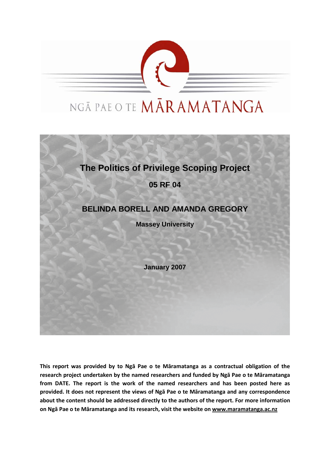

# NGĀ PAE O TE MĀRAMATANGA



**This report was provided by to Ngā Pae o te Māramatanga as a contractual obligation of the research project undertaken by the named researchers and funded by Ngā Pae o te Māramatanga from DATE. The report is the work of the named researchers and has been posted here as provided. It does not represent the views of Ngā Pae o te Māramatanga and any correspondence about the content should be addressed directly to the authors of the report. For more information on Ngā Pae o te Māramatanga and its research, visit the website on [www.maramatanga.ac.nz](http://www.maramatanga.ac.nz/)**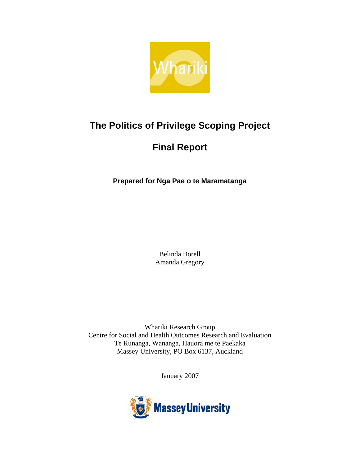

# **The Politics of Privilege Scoping Project**

# **Final Report**

**Prepared for Nga Pae o te Maramatanga** 

Belinda Borell Amanda Gregory

Whariki Research Group Centre for Social and Health Outcomes Research and Evaluation Te Runanga, Wananga, Hauora me te Paekaka Massey University, PO Box 6137, Auckland

January 2007

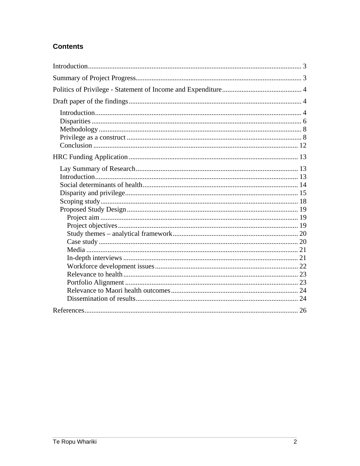# **Contents**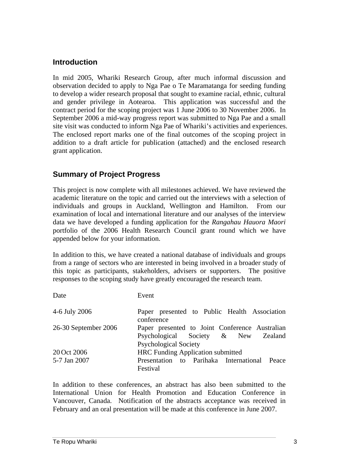# **Introduction**

In mid 2005, Whariki Research Group, after much informal discussion and observation decided to apply to Nga Pae o Te Maramatanga for seeding funding to develop a wider research proposal that sought to examine racial, ethnic, cultural and gender privilege in Aotearoa. This application was successful and the contract period for the scoping project was 1 June 2006 to 30 November 2006. In September 2006 a mid-way progress report was submitted to Nga Pae and a small site visit was conducted to inform Nga Pae of Whariki's activities and experiences. The enclosed report marks one of the final outcomes of the scoping project in addition to a draft article for publication (attached) and the enclosed research grant application.

# **Summary of Project Progress**

This project is now complete with all milestones achieved. We have reviewed the academic literature on the topic and carried out the interviews with a selection of individuals and groups in Auckland, Wellington and Hamilton. From our examination of local and international literature and our analyses of the interview data we have developed a funding application for the *Rangahau Hauora Maori*  portfolio of the 2006 Health Research Council grant round which we have appended below for your information.

In addition to this, we have created a national database of individuals and groups from a range of sectors who are interested in being involved in a broader study of this topic as participants, stakeholders, advisers or supporters. The positive responses to the scoping study have greatly encouraged the research team.

| Date                 | Event                                                                                                                 |  |  |
|----------------------|-----------------------------------------------------------------------------------------------------------------------|--|--|
| 4-6 July 2006        | Paper presented to Public Health Association<br>conference                                                            |  |  |
| 26-30 September 2006 | Paper presented to Joint Conference Australian<br>Psychological Society & New Zealand<br><b>Psychological Society</b> |  |  |
| 20 Oct 2006          | <b>HRC</b> Funding Application submitted                                                                              |  |  |
| 5-7 Jan 2007         | Presentation to Parihaka International Peace<br>Festival                                                              |  |  |

In addition to these conferences, an abstract has also been submitted to the International Union for Health Promotion and Education Conference in Vancouver, Canada. Notification of the abstracts acceptance was received in February and an oral presentation will be made at this conference in June 2007.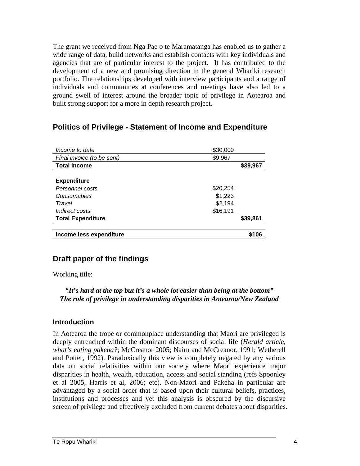The grant we received from Nga Pae o te Maramatanga has enabled us to gather a wide range of data, build networks and establish contacts with key individuals and agencies that are of particular interest to the project. It has contributed to the development of a new and promising direction in the general Whariki research portfolio. The relationships developed with interview participants and a range of individuals and communities at conferences and meetings have also led to a ground swell of interest around the broader topic of privilege in Aotearoa and built strong support for a more in depth research project.

# **Politics of Privilege - Statement of Income and Expenditure**

| Income to date             | \$30,000 |
|----------------------------|----------|
| Final invoice (to be sent) | \$9,967  |
| <b>Total income</b>        | \$39,967 |
|                            |          |
| <b>Expenditure</b>         |          |
| Personnel costs            | \$20,254 |
| Consumables                | \$1,223  |
| Travel                     | \$2,194  |
| Indirect costs             | \$16,191 |
| <b>Total Expenditure</b>   | \$39,861 |
|                            |          |
| Income less expenditure    | \$106    |

# **Draft paper of the findings**

Working title:

## *"It's hard at the top but it's a whole lot easier than being at the bottom" The role of privilege in understanding disparities in Aotearoa/New Zealand*

## **Introduction**

In Aotearoa the trope or commonplace understanding that Maori are privileged is deeply entrenched within the dominant discourses of social life (*Herald article, what's eating pakeha?*; McCreanor 2005; Nairn and McCreanor, 1991; Wetherell and Potter, 1992). Paradoxically this view is completely negated by any serious data on social relativities within our society where Maori experience major disparities in health, wealth, education, access and social standing (refs Spoonley et al 2005, Harris et al, 2006; etc). Non-Maori and Pakeha in particular are advantaged by a social order that is based upon their cultural beliefs, practices, institutions and processes and yet this analysis is obscured by the discursive screen of privilege and effectively excluded from current debates about disparities.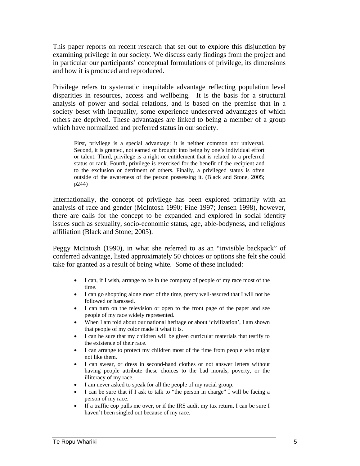This paper reports on recent research that set out to explore this disjunction by examining privilege in our society. We discuss early findings from the project and in particular our participants' conceptual formulations of privilege, its dimensions and how it is produced and reproduced.

Privilege refers to systematic inequitable advantage reflecting population level disparities in resources, access and wellbeing. It is the basis for a structural analysis of power and social relations, and is based on the premise that in a society beset with inequality, some experience undeserved advantages of which others are deprived. These advantages are linked to being a member of a group which have normalized and preferred status in our society.

First, privilege is a special advantage: it is neither common nor universal. Second, it is granted, not earned or brought into being by one's individual effort or talent. Third, privilege is a right or entitlement that is related to a preferred status or rank. Fourth, privilege is exercised for the benefit of the recipient and to the exclusion or detriment of others. Finally, a privileged status is often outside of the awareness of the person possessing it. (Black and Stone, 2005; p244)

Internationally, the concept of privilege has been explored primarily with an analysis of race and gender (McIntosh 1990; Fine 1997; Jensen 1998), however, there are calls for the concept to be expanded and explored in social identity issues such as sexuality, socio-economic status, age, able-bodyness, and religious affiliation (Black and Stone; 2005).

Peggy McIntosh (1990), in what she referred to as an "invisible backpack" of conferred advantage, listed approximately 50 choices or options she felt she could take for granted as a result of being white. Some of these included:

- I can, if I wish, arrange to be in the company of people of my race most of the time.
- I can go shopping alone most of the time, pretty well-assured that I will not be followed or harassed.
- I can turn on the television or open to the front page of the paper and see people of my race widely represented.
- When I am told about our national heritage or about 'civilization', I am shown that people of my color made it what it is.
- I can be sure that my children will be given curricular materials that testify to the existence of their race.
- I can arrange to protect my children most of the time from people who might not like them.
- I can swear, or dress in second-hand clothes or not answer letters without having people attribute these choices to the bad morals, poverty, or the illiteracy of my race.
- I am never asked to speak for all the people of my racial group.
- I can be sure that if I ask to talk to "the person in charge" I will be facing a person of my race.
- If a traffic cop pulls me over, or if the IRS audit my tax return, I can be sure I haven't been singled out because of my race.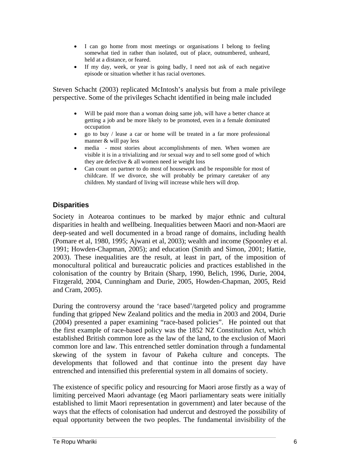- I can go home from most meetings or organisations I belong to feeling somewhat tied in rather than isolated, out of place, outnumbered, unheard, held at a distance, or feared.
- If my day, week, or year is going badly, I need not ask of each negative episode or situation whether it has racial overtones.

Steven Schacht (2003) replicated McIntosh's analysis but from a male privilege perspective. Some of the privileges Schacht identified in being male included

- Will be paid more than a woman doing same job, will have a better chance at getting a job and be more likely to be promoted, even in a female dominated occupation
- go to buy / lease a car or home will be treated in a far more professional manner & will pay less
- media most stories about accomplishments of men. When women are visible it is in a trivializing and /or sexual way and to sell some good of which they are defective & all women need ie weight loss
- Can count on partner to do most of housework and be responsible for most of childcare. If we divorce, she will probably be primary caretaker of any children. My standard of living will increase while hers will drop.

# **Disparities**

Society in Aotearoa continues to be marked by major ethnic and cultural disparities in health and wellbeing. Inequalities between Maori and non-Maori are deep-seated and well documented in a broad range of domains, including health (Pomare et al, 1980, 1995; Ajwani et al, 2003); wealth and income (Spoonley et al. 1991; Howden-Chapman, 2005); and education (Smith and Simon, 2001; Hattie, 2003). These inequalities are the result, at least in part, of the imposition of monocultural political and bureaucratic policies and practices established in the colonisation of the country by Britain (Sharp, 1990, Belich, 1996, Durie, 2004, Fitzgerald, 2004, Cunningham and Durie, 2005, Howden-Chapman, 2005, Reid and Cram, 2005).

During the controversy around the 'race based'/targeted policy and programme funding that gripped New Zealand politics and the media in 2003 and 2004, Durie (2004) presented a paper examining "race-based policies". He pointed out that the first example of race-based policy was the 1852 NZ Constitution Act, which established British common lore as the law of the land, to the exclusion of Maori common lore and law. This entrenched settler domination through a fundamental skewing of the system in favour of Pakeha culture and concepts. The developments that followed and that continue into the present day have entrenched and intensified this preferential system in all domains of society.

The existence of specific policy and resourcing for Maori arose firstly as a way of limiting perceived Maori advantage (eg Maori parliamentary seats were initially established to limit Maori representation in government) and later because of the ways that the effects of colonisation had undercut and destroyed the possibility of equal opportunity between the two peoples. The fundamental invisibility of the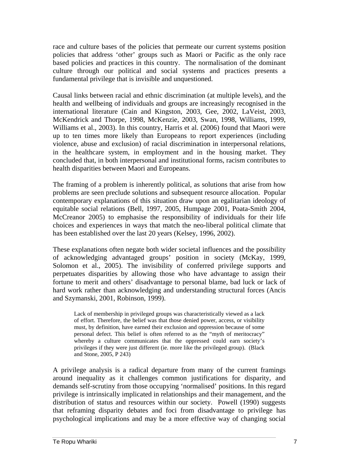race and culture bases of the policies that permeate our current systems position policies that address 'other' groups such as Maori or Pacific as the only race based policies and practices in this country. The normalisation of the dominant culture through our political and social systems and practices presents a fundamental privilege that is invisible and unquestioned.

Causal links between racial and ethnic discrimination (at multiple levels), and the health and wellbeing of individuals and groups are increasingly recognised in the international literature (Cain and Kingston, 2003, Gee, 2002, LaVeist, 2003, McKendrick and Thorpe, 1998, McKenzie, 2003, Swan, 1998, Williams, 1999, Williams et al., 2003). In this country, Harris et al. (2006) found that Maori were up to ten times more likely than Europeans to report experiences (including violence, abuse and exclusion) of racial discrimination in interpersonal relations, in the healthcare system, in employment and in the housing market. They concluded that, in both interpersonal and institutional forms, racism contributes to health disparities between Maori and Europeans.

The framing of a problem is inherently political, as solutions that arise from how problems are seen preclude solutions and subsequent resource allocation. Popular contemporary explanations of this situation draw upon an egalitarian ideology of equitable social relations (Bell, 1997, 2005, Humpage 2001, Poata-Smith 2004, McCreanor 2005) to emphasise the responsibility of individuals for their life choices and experiences in ways that match the neo-liberal political climate that has been established over the last 20 years (Kelsey, 1996, 2002).

These explanations often negate both wider societal influences and the possibility of acknowledging advantaged groups' position in society (McKay, 1999, Solomon et al., 2005). The invisibility of conferred privilege supports and perpetuates disparities by allowing those who have advantage to assign their fortune to merit and others' disadvantage to personal blame, bad luck or lack of hard work rather than acknowledging and understanding structural forces (Ancis and Szymanski, 2001, Robinson, 1999).

Lack of membership in privileged groups was characteristically viewed as a lack of effort. Therefore, the belief was that those denied power, access, or visibility must, by definition, have earned their exclusion and oppression because of some personal defect. This belief is often referred to as the "myth of meritocracy" whereby a culture communicates that the oppressed could earn society's privileges if they were just different (ie. more like the privileged group). (Black and Stone, 2005, P 243)

A privilege analysis is a radical departure from many of the current framings around inequality as it challenges common justifications for disparity, and demands self-scrutiny from those occupying 'normalised' positions. In this regard privilege is intrinsically implicated in relationships and their management, and the distribution of status and resources within our society. Powell (1990) suggests that reframing disparity debates and foci from disadvantage to privilege has psychological implications and may be a more effective way of changing social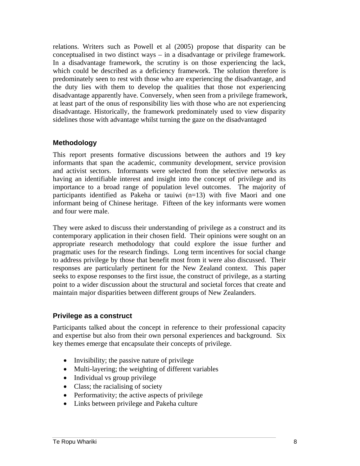relations. Writers such as Powell et al (2005) propose that disparity can be conceptualised in two distinct ways – in a disadvantage or privilege framework. In a disadvantage framework, the scrutiny is on those experiencing the lack, which could be described as a deficiency framework. The solution therefore is predominately seen to rest with those who are experiencing the disadvantage, and the duty lies with them to develop the qualities that those not experiencing disadvantage apparently have. Conversely, when seen from a privilege framework, at least part of the onus of responsibility lies with those who are not experiencing disadvantage. Historically, the framework predominately used to view disparity sidelines those with advantage whilst turning the gaze on the disadvantaged

## **Methodology**

This report presents formative discussions between the authors and 19 key informants that span the academic, community development, service provision and activist sectors. Informants were selected from the selective networks as having an identifiable interest and insight into the concept of privilege and its importance to a broad range of population level outcomes. The majority of participants identified as Pakeha or tauiwi (n=13) with five Maori and one informant being of Chinese heritage. Fifteen of the key informants were women and four were male.

They were asked to discuss their understanding of privilege as a construct and its contemporary application in their chosen field. Their opinions were sought on an appropriate research methodology that could explore the issue further and pragmatic uses for the research findings. Long term incentives for social change to address privilege by those that benefit most from it were also discussed. Their responses are particularly pertinent for the New Zealand context. This paper seeks to expose responses to the first issue, the construct of privilege, as a starting point to a wider discussion about the structural and societal forces that create and maintain major disparities between different groups of New Zealanders.

## **Privilege as a construct**

Participants talked about the concept in reference to their professional capacity and expertise but also from their own personal experiences and background. Six key themes emerge that encapsulate their concepts of privilege.

- Invisibility; the passive nature of privilege
- Multi-layering; the weighting of different variables
- Individual vs group privilege
- Class; the racialising of society
- Performativity; the active aspects of privilege
- Links between privilege and Pakeha culture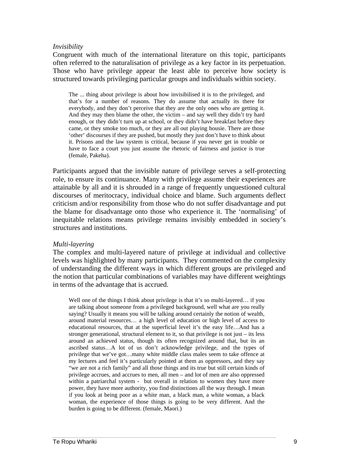#### *Invisibility*

Congruent with much of the international literature on this topic, participants often referred to the naturalisation of privilege as a key factor in its perpetuation. Those who have privilege appear the least able to perceive how society is structured towards privileging particular groups and individuals within society.

The ... thing about privilege is about how invisibilised it is to the privileged, and that's for a number of reasons. They do assume that actually its there for everybody, and they don't perceive that they are the only ones who are getting it. And they may then blame the other, the victim – and say well they didn't try hard enough, or they didn't turn up at school, or they didn't have breakfast before they came, or they smoke too much, or they are all out playing housie. There are those 'other' discourses if they are pushed, but mostly they just don't have to think about it. Prisons and the law system is critical, because if you never get in trouble or have to face a court you just assume the rhetoric of fairness and justice is true (female, Pakeha).

Participants argued that the invisible nature of privilege serves a self-protecting role, to ensure its continuance. Many with privilege assume their experiences are attainable by all and it is shrouded in a range of frequently unquestioned cultural discourses of meritocracy, individual choice and blame. Such arguments deflect criticism and/or responsibility from those who do not suffer disadvantage and put the blame for disadvantage onto those who experience it. The 'normalising' of inequitable relations means privilege remains invisibly embedded in society's structures and institutions.

#### *Multi-layering*

The complex and multi-layered nature of privilege at individual and collective levels was highlighted by many participants. They commented on the complexity of understanding the different ways in which different groups are privileged and the notion that particular combinations of variables may have different weightings in terms of the advantage that is accrued.

Well one of the things I think about privilege is that it's so multi-layered... if you are talking about someone from a privileged background, well what are you really saying? Usually it means you will be talking around certainly the notion of wealth, around material resources… a high level of education or high level of access to educational resources, that at the superficial level it's the easy life…And has a stronger generational, structural element to it, so that privilege is not just – its less around an achieved status, though its often recognized around that, but its an ascribed status…A lot of us don't acknowledge privilege, and the types of privilege that we've got…many white middle class males seem to take offence at my lectures and feel it's particularly pointed at them as oppressors, and they say "we are not a rich family" and all those things and its true but still certain kinds of privilege accrues, and accrues to men, all men – and lot of men are also oppressed within a patriarchal system - but overall in relation to women they have more power, they have more authority, you find distinctions all the way through. I mean if you look at being poor as a white man, a black man, a white woman, a black woman, the experience of those things is going to be very different. And the burden is going to be different. (female, Maori.)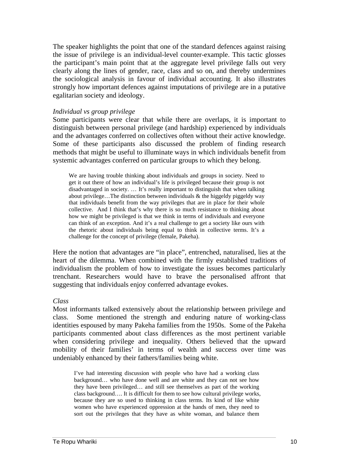The speaker highlights the point that one of the standard defences against raising the issue of privilege is an individual-level counter-example. This tactic glosses the participant's main point that at the aggregate level privilege falls out very clearly along the lines of gender, race, class and so on, and thereby undermines the sociological analysis in favour of individual accounting. It also illustrates strongly how important defences against imputations of privilege are in a putative egalitarian society and ideology.

#### *Individual vs group privilege*

Some participants were clear that while there are overlaps, it is important to distinguish between personal privilege (and hardship) experienced by individuals and the advantages conferred on collectives often without their active knowledge. Some of these participants also discussed the problem of finding research methods that might be useful to illuminate ways in which individuals benefit from systemic advantages conferred on particular groups to which they belong.

We are having trouble thinking about individuals and groups in society. Need to get it out there of how an individual's life is privileged because their group is not disadvantaged in society. … It's really important to distinguish that when talking about privilege...The distinction between individuals  $\&$  the higgeldy piggeldy way that individuals benefit from the way privileges that are in place for their whole collective. And I think that's why there is so much resistance to thinking about how we might be privileged is that we think in terms of individuals and everyone can think of an exception. And it's a real challenge to get a society like ours with the rhetoric about individuals being equal to think in collective terms. It's a challenge for the concept of privilege (female, Pakeha).

Here the notion that advantages are "in place", entrenched, naturalised, lies at the heart of the dilemma. When combined with the firmly established traditions of individualism the problem of how to investigate the issues becomes particularly trenchant. Researchers would have to brave the personalised affront that suggesting that individuals enjoy conferred advantage evokes.

#### *Class*

Most informants talked extensively about the relationship between privilege and class. Some mentioned the strength and enduring nature of working-class identities espoused by many Pakeha families from the 1950s. Some of the Pakeha participants commented about class differences as the most pertinent variable when considering privilege and inequality. Others believed that the upward mobility of their families' in terms of wealth and success over time was undeniably enhanced by their fathers/families being white.

I've had interesting discussion with people who have had a working class background… who have done well and are white and they can not see how they have been privileged… and still see themselves as part of the working class background…. It is difficult for them to see how cultural privilege works, because they are so used to thinking in class terms. Its kind of like white women who have experienced oppression at the hands of men, they need to sort out the privileges that they have as white woman, and balance them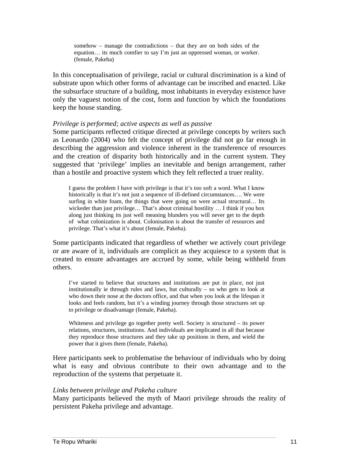somehow – manage the contradictions – that they are on both sides of the equation… its much comfier to say I'm just an oppressed woman, or worker. (female, Pakeha)

In this conceptualisation of privilege, racial or cultural discrimination is a kind of substrate upon which other forms of advantage can be inscribed and enacted. Like the subsurface structure of a building, most inhabitants in everyday existence have only the vaguest notion of the cost, form and function by which the foundations keep the house standing.

#### *Privilege is performed; active aspects as well as passive*

Some participants reflected critique directed at privilege concepts by writers such as Leonardo (2004) who felt the concept of privilege did not go far enough in describing the aggression and violence inherent in the transference of resources and the creation of disparity both historically and in the current system. They suggested that 'privilege' implies an inevitable and benign arrangement, rather than a hostile and proactive system which they felt reflected a truer reality.

I guess the problem I have with privilege is that it's too soft a word. What I know historically is that it's not just a sequence of ill-defined circumstances.... We were surfing in white foam, the things that were going on were actual structural... Its wickeder than just privilege... That's about criminal hostility ... I think if you box along just thinking its just well meaning blunders you will never get to the depth of what colonization is about. Colonisation is about the transfer of resources and privilege. That's what it's about (female, Pakeha).

Some participants indicated that regardless of whether we actively court privilege or are aware of it, individuals are complicit as they acquiesce to a system that is created to ensure advantages are accrued by some, while being withheld from others.

I've started to believe that structures and institutions are put in place, not just institutionally ie through rules and laws, but culturally – so who gets to look at who down their nose at the doctors office, and that when you look at the lifespan it looks and feels random, but it's a winding journey through those structures set up to privilege or disadvantage (female, Pakeha).

Whiteness and privilege go together pretty well. Society is structured – its power relations, structures, institutions. And individuals are implicated in all that because they reproduce those structures and they take up positions in them, and wield the power that it gives them (female, Pakeha).

Here participants seek to problematise the behaviour of individuals who by doing what is easy and obvious contribute to their own advantage and to the reproduction of the systems that perpetuate it.

#### *Links between privilege and Pakeha culture*

Many participants believed the myth of Maori privilege shrouds the reality of persistent Pakeha privilege and advantage.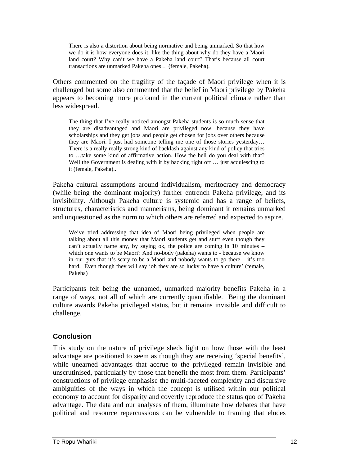There is also a distortion about being normative and being unmarked. So that how we do it is how everyone does it, like the thing about why do they have a Maori land court? Why can't we have a Pakeha land court? That's because all court transactions are unmarked Pakeha ones… (female, Pakeha).

Others commented on the fragility of the façade of Maori privilege when it is challenged but some also commented that the belief in Maori privilege by Pakeha appears to becoming more profound in the current political climate rather than less widespread.

The thing that I've really noticed amongst Pakeha students is so much sense that they are disadvantaged and Maori are privileged now, because they have scholarships and they get jobs and people get chosen for jobs over others because they are Maori. I just had someone telling me one of those stories yesterday… There is a really really strong kind of backlash against any kind of policy that tries to …take some kind of affirmative action. How the hell do you deal with that? Well the Government is dealing with it by backing right off ... just acquiescing to it (female, Pakeha)..

Pakeha cultural assumptions around individualism, meritocracy and democracy (while being the dominant majority) further entrench Pakeha privilege, and its invisibility. Although Pakeha culture is systemic and has a range of beliefs, structures, characteristics and mannerisms, being dominant it remains unmarked and unquestioned as the norm to which others are referred and expected to aspire.

We've tried addressing that idea of Maori being privileged when people are talking about all this money that Maori students get and stuff even though they can't actually name any, by saying ok, the police are coming in 10 minutes – which one wants to be Maori? And no-body (pakeha) wants to - because we know in our guts that it's scary to be a Maori and nobody wants to go there – it's too hard. Even though they will say 'oh they are so lucky to have a culture' (female, Pakeha)

Participants felt being the unnamed, unmarked majority benefits Pakeha in a range of ways, not all of which are currently quantifiable. Being the dominant culture awards Pakeha privileged status, but it remains invisible and difficult to challenge.

# **Conclusion**

This study on the nature of privilege sheds light on how those with the least advantage are positioned to seem as though they are receiving 'special benefits', while unearned advantages that accrue to the privileged remain invisible and unscrutinised, particularly by those that benefit the most from them. Participants' constructions of privilege emphasise the multi-faceted complexity and discursive ambiguities of the ways in which the concept is utilised within our political economy to account for disparity and covertly reproduce the status quo of Pakeha advantage. The data and our analyses of them, illuminate how debates that have political and resource repercussions can be vulnerable to framing that eludes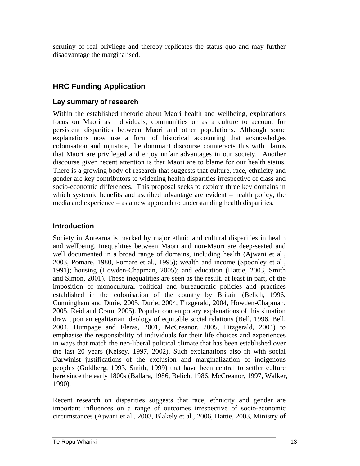scrutiny of real privilege and thereby replicates the status quo and may further disadvantage the marginalised.

# **HRC Funding Application**

# **Lay summary of research**

Within the established rhetoric about Maori health and wellbeing, explanations focus on Maori as individuals, communities or as a culture to account for persistent disparities between Maori and other populations. Although some explanations now use a form of historical accounting that acknowledges colonisation and injustice, the dominant discourse counteracts this with claims that Maori are privileged and enjoy unfair advantages in our society. Another discourse given recent attention is that Maori are to blame for our health status. There is a growing body of research that suggests that culture, race, ethnicity and gender are key contributors to widening health disparities irrespective of class and socio-economic differences. This proposal seeks to explore three key domains in which systemic benefits and ascribed advantage are evident – health policy, the media and experience – as a new approach to understanding health disparities.

# **Introduction**

Society in Aotearoa is marked by major ethnic and cultural disparities in health and wellbeing. Inequalities between Maori and non-Maori are deep-seated and well documented in a broad range of domains, including health (Ajwani et al., 2003, Pomare, 1980, Pomare et al., 1995); wealth and income (Spoonley et al., 1991); housing (Howden-Chapman, 2005); and education (Hattie, 2003, Smith and Simon, 2001). These inequalities are seen as the result, at least in part, of the imposition of monocultural political and bureaucratic policies and practices established in the colonisation of the country by Britain (Belich, 1996, Cunningham and Durie, 2005, Durie, 2004, Fitzgerald, 2004, Howden-Chapman, 2005, Reid and Cram, 2005). Popular contemporary explanations of this situation draw upon an egalitarian ideology of equitable social relations (Bell, 1996, Bell, 2004, Humpage and Fleras, 2001, McCreanor, 2005, Fitzgerald, 2004) to emphasise the responsibility of individuals for their life choices and experiences in ways that match the neo-liberal political climate that has been established over the last 20 years (Kelsey, 1997, 2002). Such explanations also fit with social Darwinist justifications of the exclusion and marginalization of indigenous peoples (Goldberg, 1993, Smith, 1999) that have been central to settler culture here since the early 1800s (Ballara, 1986, Belich, 1986, McCreanor, 1997, Walker, 1990).

Recent research on disparities suggests that race, ethnicity and gender are important influences on a range of outcomes irrespective of socio-economic circumstances (Ajwani et al., 2003, Blakely et al., 2006, Hattie, 2003, Ministry of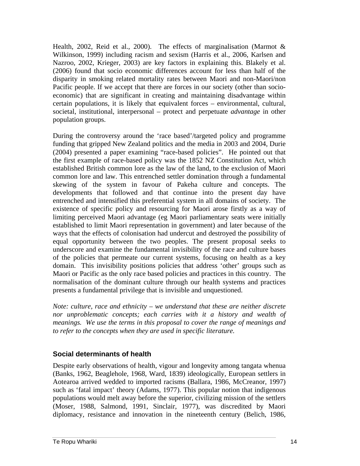Health, 2002, Reid et al., 2000). The effects of marginalisation (Marmot & Wilkinson, 1999) including racism and sexism (Harris et al., 2006, Karlsen and Nazroo, 2002, Krieger, 2003) are key factors in explaining this. Blakely et al. (2006) found that socio economic differences account for less than half of the disparity in smoking related mortality rates between Maori and non-Maori/non Pacific people. If we accept that there are forces in our society (other than socioeconomic) that are significant in creating and maintaining disadvantage within certain populations, it is likely that equivalent forces – environmental, cultural, societal, institutional, interpersonal – protect and perpetuate *advantage* in other population groups.

During the controversy around the 'race based'/targeted policy and programme funding that gripped New Zealand politics and the media in 2003 and 2004, Durie (2004) presented a paper examining "race-based policies". He pointed out that the first example of race-based policy was the 1852 NZ Constitution Act, which established British common lore as the law of the land, to the exclusion of Maori common lore and law. This entrenched settler domination through a fundamental skewing of the system in favour of Pakeha culture and concepts. The developments that followed and that continue into the present day have entrenched and intensified this preferential system in all domains of society. The existence of specific policy and resourcing for Maori arose firstly as a way of limiting perceived Maori advantage (eg Maori parliamentary seats were initially established to limit Maori representation in government) and later because of the ways that the effects of colonisation had undercut and destroyed the possibility of equal opportunity between the two peoples. The present proposal seeks to underscore and examine the fundamental invisibility of the race and culture bases of the policies that permeate our current systems, focusing on health as a key domain. This invisibility positions policies that address 'other' groups such as Maori or Pacific as the only race based policies and practices in this country. The normalisation of the dominant culture through our health systems and practices presents a fundamental privilege that is invisible and unquestioned.

*Note: culture, race and ethnicity – we understand that these are neither discrete nor unproblematic concepts; each carries with it a history and wealth of meanings. We use the terms in this proposal to cover the range of meanings and to refer to the concepts when they are used in specific literature.* 

# **Social determinants of health**

Despite early observations of health, vigour and longevity among tangata whenua (Banks, 1962, Beaglehole, 1968, Ward, 1839) ideologically, European settlers in Aotearoa arrived wedded to imported racisms (Ballara, 1986, McCreanor, 1997) such as 'fatal impact' theory (Adams, 1977). This popular notion that indigenous populations would melt away before the superior, civilizing mission of the settlers (Moser, 1988, Salmond, 1991, Sinclair, 1977), was discredited by Maori diplomacy, resistance and innovation in the nineteenth century (Belich, 1986,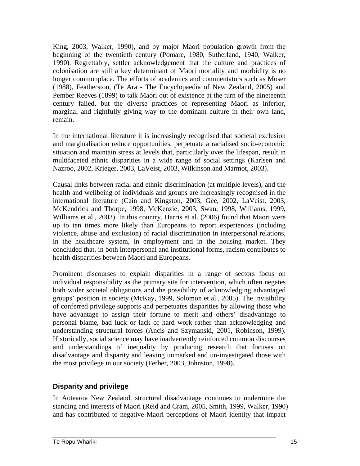King, 2003, Walker, 1990), and by major Maori population growth from the beginning of the twentieth century (Pomare, 1980, Sutherland, 1940, Walker, 1990). Regrettably, settler acknowledgement that the culture and practices of colonisation are still a key determinant of Maori mortality and morbidity is no longer commonplace. The efforts of academics and commentators such as Moser (1988), Featherston, (Te Ara - The Encyclopaedia of New Zealand, 2005) and Pember Reeves (1899) to talk Maori out of existence at the turn of the nineteenth century failed, but the diverse practices of representing Maori as inferior, marginal and rightfully giving way to the dominant culture in their own land, remain.

In the international literature it is increasingly recognised that societal exclusion and marginalisation reduce opportunities, perpetuate a racialised socio-economic situation and maintain stress at levels that, particularly over the lifespan, result in multifaceted ethnic disparities in a wide range of social settings (Karlsen and Nazroo, 2002, Krieger, 2003, LaVeist, 2003, Wilkinson and Marmot, 2003).

Causal links between racial and ethnic discrimination (at multiple levels), and the health and wellbeing of individuals and groups are increasingly recognised in the international literature (Cain and Kingston, 2003, Gee, 2002, LaVeist, 2003, McKendrick and Thorpe, 1998, McKenzie, 2003, Swan, 1998, Williams, 1999, Williams et al., 2003). In this country, Harris et al. (2006) found that Maori were up to ten times more likely than Europeans to report experiences (including violence, abuse and exclusion) of racial discrimination in interpersonal relations, in the healthcare system, in employment and in the housing market. They concluded that, in both interpersonal and institutional forms, racism contributes to health disparities between Maori and Europeans.

Prominent discourses to explain disparities in a range of sectors focus on individual responsibility as the primary site for intervention, which often negates both wider societal obligations and the possibility of acknowledging advantaged groups' position in society (McKay, 1999, Solomon et al., 2005). The invisibility of conferred privilege supports and perpetuates disparities by allowing those who have advantage to assign their fortune to merit and others' disadvantage to personal blame, bad luck or lack of hard work rather than acknowledging and understanding structural forces (Ancis and Szymanski, 2001, Robinson, 1999). Historically, social science may have inadvertently reinforced common discourses and understanding**s** of inequality by producing research that focuses on disadvantage and disparity and leaving unmarked and un-investigated those with the most privilege in our society (Ferber, 2003, Johnston, 1998).

## **Disparity and privilege**

In Aotearoa New Zealand, structural disadvantage continues to undermine the standing and interests of Maori (Reid and Cram, 2005, Smith, 1999, Walker, 1990) and has contributed to negative Maori perceptions of Maori identity that impact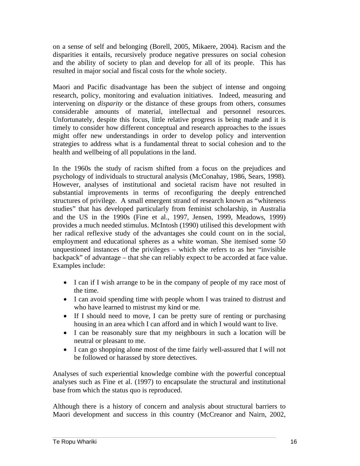on a sense of self and belonging (Borell, 2005, Mikaere, 2004). Racism and the disparities it entails, recursively produce negative pressures on social cohesion and the ability of society to plan and develop for all of its people. This has resulted in major social and fiscal costs for the whole society.

Maori and Pacific disadvantage has been the subject of intense and ongoing research, policy, monitoring and evaluation initiatives. Indeed, measuring and intervening on *disparity* or the distance of these groups from others, consumes considerable amounts of material, intellectual and personnel resources. Unfortunately, despite this focus, little relative progress is being made and it is timely to consider how different conceptual and research approaches to the issues might offer new understandings in order to develop policy and intervention strategies to address what is a fundamental threat to social cohesion and to the health and wellbeing of all populations in the land.

In the 1960s the study of racism shifted from a focus on the prejudices and psychology of individuals to structural analysis (McConahay, 1986, Sears, 1998). However, analyses of institutional and societal racism have not resulted in substantial improvements in terms of reconfiguring the deeply entrenched structures of privilege. A small emergent strand of research known as "whiteness studies" that has developed particularly from feminist scholarship, in Australia and the US in the 1990s (Fine et al., 1997, Jensen, 1999, Meadows, 1999) provides a much needed stimulus. McIntosh (1990) utilised this development with her radical reflexive study of the advantages she could count on in the social, employment and educational spheres as a white woman. She itemised some 50 unquestioned instances of the privileges – which she refers to as her "invisible backpack" of advantage – that she can reliably expect to be accorded at face value. Examples include:

- I can if I wish arrange to be in the company of people of my race most of the time.
- I can avoid spending time with people whom I was trained to distrust and who have learned to mistrust my kind or me.
- If I should need to move, I can be pretty sure of renting or purchasing housing in an area which I can afford and in which I would want to live.
- I can be reasonably sure that my neighbours in such a location will be neutral or pleasant to me.
- I can go shopping alone most of the time fairly well-assured that I will not be followed or harassed by store detectives.

Analyses of such experiential knowledge combine with the powerful conceptual analyses such as Fine et al. (1997) to encapsulate the structural and institutional base from which the status quo is reproduced.

Although there is a history of concern and analysis about structural barriers to Maori development and success in this country (McCreanor and Nairn, 2002,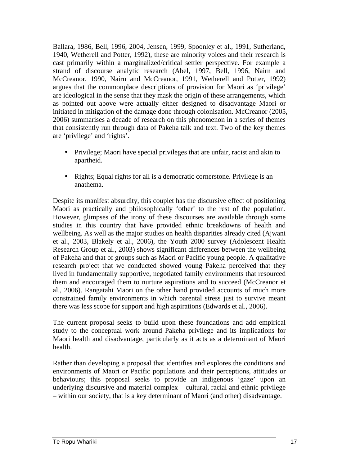Ballara, 1986, Bell, 1996, 2004, Jensen, 1999, Spoonley et al., 1991, Sutherland, 1940, Wetherell and Potter, 1992), these are minority voices and their research is cast primarily within a marginalized/critical settler perspective. For example a strand of discourse analytic research (Abel, 1997, Bell, 1996, Nairn and McCreanor, 1990, Nairn and McCreanor, 1991, Wetherell and Potter, 1992) argues that the commonplace descriptions of provision for Maori as 'privilege' are ideological in the sense that they mask the origin of these arrangements, which as pointed out above were actually either designed to disadvantage Maori or initiated in mitigation of the damage done through colonisation. McCreanor (2005, 2006) summarises a decade of research on this phenomenon in a series of themes that consistently run through data of Pakeha talk and text. Two of the key themes are 'privilege' and 'rights'.

- Privilege; Maori have special privileges that are unfair, racist and akin to apartheid.
- Rights; Equal rights for all is a democratic cornerstone. Privilege is an anathema.

Despite its manifest absurdity, this couplet has the discursive effect of positioning Maori as practically and philosophically 'other' to the rest of the population. However, glimpses of the irony of these discourses are available through some studies in this country that have provided ethnic breakdowns of health and wellbeing. As well as the major studies on health disparities already cited (Ajwani et al., 2003, Blakely et al., 2006), the Youth 2000 survey (Adolescent Health Research Group et al., 2003) shows significant differences between the wellbeing of Pakeha and that of groups such as Maori or Pacific young people. A qualitative research project that we conducted showed young Pakeha perceived that they lived in fundamentally supportive, negotiated family environments that resourced them and encouraged them to nurture aspirations and to succeed (McCreanor et al., 2006). Rangatahi Maori on the other hand provided accounts of much more constrained family environments in which parental stress just to survive meant there was less scope for support and high aspirations (Edwards et al., 2006).

The current proposal seeks to build upon these foundations and add empirical study to the conceptual work around Pakeha privilege and its implications for Maori health and disadvantage, particularly as it acts as a determinant of Maori health.

Rather than developing a proposal that identifies and explores the conditions and environments of Maori or Pacific populations and their perceptions, attitudes or behaviours; this proposal seeks to provide an indigenous 'gaze' upon an underlying discursive and material complex – cultural, racial and ethnic privilege – within our society, that is a key determinant of Maori (and other) disadvantage.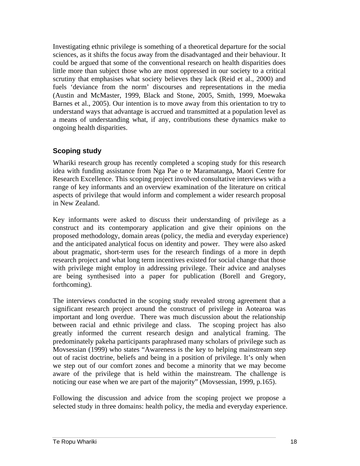Investigating ethnic privilege is something of a theoretical departure for the social sciences, as it shifts the focus away from the disadvantaged and their behaviour. It could be argued that some of the conventional research on health disparities does little more than subject those who are most oppressed in our society to a critical scrutiny that emphasises what society believes they lack (Reid et al., 2000) and fuels 'deviance from the norm' discourses and representations in the media (Austin and McMaster, 1999, Black and Stone, 2005, Smith, 1999, Moewaka Barnes et al., 2005). Our intention is to move away from this orientation to try to understand ways that advantage is accrued and transmitted at a population level as a means of understanding what, if any, contributions these dynamics make to ongoing health disparities.

# **Scoping study**

Whariki research group has recently completed a scoping study for this research idea with funding assistance from Nga Pae o te Maramatanga, Maori Centre for Research Excellence. This scoping project involved consultative interviews with a range of key informants and an overview examination of the literature on critical aspects of privilege that would inform and complement a wider research proposal in New Zealand.

Key informants were asked to discuss their understanding of privilege as a construct and its contemporary application and give their opinions on the proposed methodology, domain areas (policy, the media and everyday experience) and the anticipated analytical focus on identity and power. They were also asked about pragmatic, short-term uses for the research findings of a more in depth research project and what long term incentives existed for social change that those with privilege might employ in addressing privilege. Their advice and analyses are being synthesised into a paper for publication (Borell and Gregory, forthcoming).

The interviews conducted in the scoping study revealed strong agreement that a significant research project around the construct of privilege in Aotearoa was important and long overdue. There was much discussion about the relationship between racial and ethnic privilege and class. The scoping project has also greatly informed the current research design and analytical framing. The predominately pakeha participants paraphrased many scholars of privilege such as Movsessian (1999) who states "Awareness is the key to helping mainstream step out of racist doctrine, beliefs and being in a position of privilege. It's only when we step out of our comfort zones and become a minority that we may become aware of the privilege that is held within the mainstream. The challenge is noticing our ease when we are part of the majority" (Movsessian, 1999, p.165).

Following the discussion and advice from the scoping project we propose a selected study in three domains: health policy, the media and everyday experience.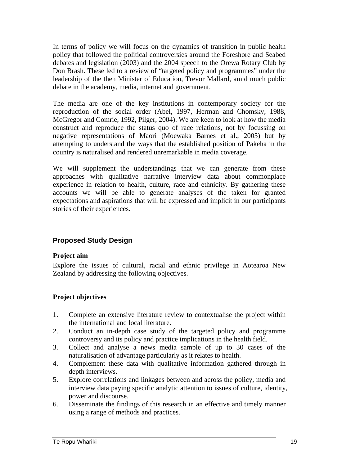In terms of policy we will focus on the dynamics of transition in public health policy that followed the political controversies around the Foreshore and Seabed debates and legislation (2003) and the 2004 speech to the Orewa Rotary Club by Don Brash. These led to a review of "targeted policy and programmes" under the leadership of the then Minister of Education, Trevor Mallard, amid much public debate in the academy, media, internet and government.

The media are one of the key institutions in contemporary society for the reproduction of the social order (Abel, 1997, Herman and Chomsky, 1988, McGregor and Comrie, 1992, Pilger, 2004). We are keen to look at how the media construct and reproduce the status quo of race relations, not by focussing on negative representations of Maori (Moewaka Barnes et al., 2005) but by attempting to understand the ways that the established position of Pakeha in the country is naturalised and rendered unremarkable in media coverage.

We will supplement the understandings that we can generate from these approaches with qualitative narrative interview data about commonplace experience in relation to health, culture, race and ethnicity. By gathering these accounts we will be able to generate analyses of the taken for granted expectations and aspirations that will be expressed and implicit in our participants stories of their experiences.

# **Proposed Study Design**

## **Project aim**

Explore the issues of cultural, racial and ethnic privilege in Aotearoa New Zealand by addressing the following objectives.

## **Project objectives**

- 1. Complete an extensive literature review to contextualise the project within the international and local literature.
- 2. Conduct an in-depth case study of the targeted policy and programme controversy and its policy and practice implications in the health field.
- 3. Collect and analyse a news media sample of up to 30 cases of the naturalisation of advantage particularly as it relates to health.
- 4. Complement these data with qualitative information gathered through in depth interviews.
- 5. Explore correlations and linkages between and across the policy, media and interview data paying specific analytic attention to issues of culture, identity, power and discourse.
- 6. Disseminate the findings of this research in an effective and timely manner using a range of methods and practices.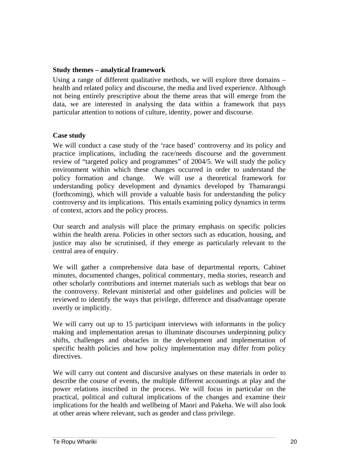#### **Study themes – analytical framework**

Using a range of different qualitative methods, we will explore three domains – health and related policy and discourse, the media and lived experience. Although not being entirely prescriptive about the theme areas that will emerge from the data, we are interested in analysing the data within a framework that pays particular attention to notions of culture, identity, power and discourse.

#### **Case study**

We will conduct a case study of the 'race based' controversy and its policy and practice implications, including the race/needs discourse and the government review of "targeted policy and programmes" of 2004/5. We will study the policy environment within which these changes occurred in order to understand the policy formation and change. We will use a theoretical framework for understanding policy development and dynamics developed by Thamarangsi (forthcoming), which will provide a valuable basis for understanding the policy controversy and its implications. This entails examining policy dynamics in terms of context, actors and the policy process.

Our search and analysis will place the primary emphasis on specific policies within the health arena. Policies in other sectors such as education, housing, and justice may also be scrutinised, if they emerge as particularly relevant to the central area of enquiry.

We will gather a comprehensive data base of departmental reports, Cabinet minutes, documented changes, political commentary, media stories, research and other scholarly contributions and internet materials such as weblogs that bear on the controversy. Relevant ministerial and other guidelines and policies will be reviewed to identify the ways that privilege, difference and disadvantage operate overtly or implicitly.

We will carry out up to 15 participant interviews with informants in the policy making and implementation arenas to illuminate discourses underpinning policy shifts, challenges and obstacles in the development and implementation of specific health policies and how policy implementation may differ from policy directives.

We will carry out content and discursive analyses on these materials in order to describe the course of events, the multiple different accountings at play and the power relations inscribed in the process. We will focus in particular on the practical, political and cultural implications of the changes and examine their implications for the health and wellbeing of Maori and Pakeha. We will also look at other areas where relevant, such as gender and class privilege.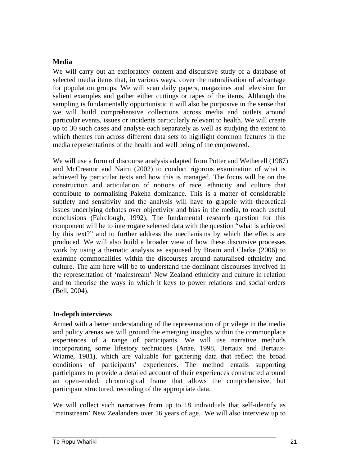# **Media**

We will carry out an exploratory content and discursive study of a database of selected media items that, in various ways, cover the naturalisation of advantage for population groups. We will scan daily papers, magazines and television for salient examples and gather either cuttings or tapes of the items. Although the sampling is fundamentally opportunistic it will also be purposive in the sense that we will build comprehensive collections across media and outlets around particular events, issues or incidents particularly relevant to health. We will create up to 30 such cases and analyse each separately as well as studying the extent to which themes run across different data sets to highlight common features in the media representations of the health and well being of the empowered.

We will use a form of discourse analysis adapted from Potter and Wetherell (1987) and McCreanor and Nairn (2002) to conduct rigorous examination of what is achieved by particular texts and how this is managed. The focus will be on the construction and articulation of notions of race, ethnicity and culture that contribute to normalising Pakeha dominance. This is a matter of considerable subtlety and sensitivity and the analysis will have to grapple with theoretical issues underlying debates over objectivity and bias in the media, to reach useful conclusions (Fairclough, 1992). The fundamental research question for this component will be to interrogate selected data with the question "what is achieved by this text?" and to further address the mechanisms by which the effects are produced. We will also build a broader view of how these discursive processes work by using a thematic analysis as espoused by Braun and Clarke (2006) to examine commonalities within the discourses around naturalised ethnicity and culture. The aim here will be to understand the dominant discourses involved in the representation of 'mainstream' New Zealand ethnicity and culture in relation and to theorise the ways in which it keys to power relations and social orders (Bell, 2004).

# **In-depth interviews**

Armed with a better understanding of the representation of privilege in the media and policy arenas we will ground the emerging insights within the commonplace experiences of a range of participants. We will use narrative methods incorporating some lifestory techniques (Anae, 1998, Bertaux and Bertaux-Wiame, 1981), which are valuable for gathering data that reflect the broad conditions of participants' experiences. The method entails supporting participants to provide a detailed account of their experiences constructed around an open-ended, chronological frame that allows the comprehensive, but participant structured, recording of the appropriate data.

We will collect such narratives from up to 18 individuals that self-identify as 'mainstream' New Zealanders over 16 years of age. We will also interview up to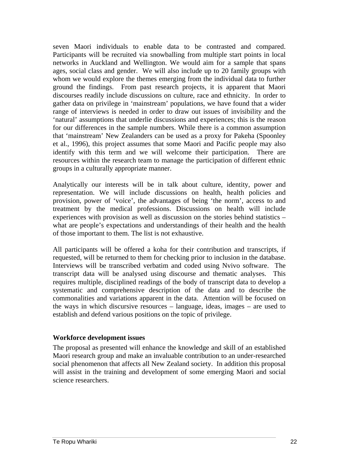seven Maori individuals to enable data to be contrasted and compared. Participants will be recruited via snowballing from multiple start points in local networks in Auckland and Wellington. We would aim for a sample that spans ages, social class and gender. We will also include up to 20 family groups with whom we would explore the themes emerging from the individual data to further ground the findings. From past research projects, it is apparent that Maori discourses readily include discussions on culture, race and ethnicity. In order to gather data on privilege in 'mainstream' populations, we have found that a wider range of interviews is needed in order to draw out issues of invisibility and the 'natural' assumptions that underlie discussions and experiences; this is the reason for our differences in the sample numbers. While there is a common assumption that 'mainstream' New Zealanders can be used as a proxy for Pakeha (Spoonley et al., 1996), this project assumes that some Maori and Pacific people may also identify with this term and we will welcome their participation. There are resources within the research team to manage the participation of different ethnic groups in a culturally appropriate manner.

Analytically our interests will be in talk about culture, identity, power and representation. We will include discussions on health, health policies and provision, power of 'voice', the advantages of being 'the norm', access to and treatment by the medical professions. Discussions on health will include experiences with provision as well as discussion on the stories behind statistics – what are people's expectations and understandings of their health and the health of those important to them. The list is not exhaustive.

All participants will be offered a koha for their contribution and transcripts, if requested, will be returned to them for checking prior to inclusion in the database. Interviews will be transcribed verbatim and coded using Nvivo software. The transcript data will be analysed using discourse and thematic analyses. This requires multiple, disciplined readings of the body of transcript data to develop a systematic and comprehensive description of the data and to describe the commonalities and variations apparent in the data. Attention will be focused on the ways in which discursive resources – language, ideas, images – are used to establish and defend various positions on the topic of privilege.

#### **Workforce development issues**

The proposal as presented will enhance the knowledge and skill of an established Maori research group and make an invaluable contribution to an under-researched social phenomenon that affects all New Zealand society. In addition this proposal will assist in the training and development of some emerging Maori and social science researchers.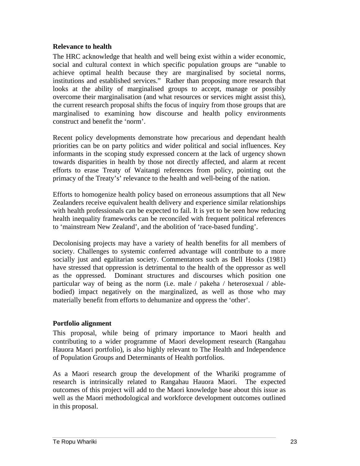## **Relevance to health**

The HRC acknowledge that health and well being exist within a wider economic, social and cultural context in which specific population groups are "unable to achieve optimal health because they are marginalised by societal norms, institutions and established services." Rather than proposing more research that looks at the ability of marginalised groups to accept, manage or possibly overcome their marginalisation (and what resources or services might assist this), the current research proposal shifts the focus of inquiry from those groups that are marginalised to examining how discourse and health policy environments construct and benefit the 'norm'.

Recent policy developments demonstrate how precarious and dependant health priorities can be on party politics and wider political and social influences. Key informants in the scoping study expressed concern at the lack of urgency shown towards disparities in health by those not directly affected, and alarm at recent efforts to erase Treaty of Waitangi references from policy, pointing out the primacy of the Treaty's' relevance to the health and well-being of the nation.

Efforts to homogenize health policy based on erroneous assumptions that all New Zealanders receive equivalent health delivery and experience similar relationships with health professionals can be expected to fail. It is yet to be seen how reducing health inequality frameworks can be reconciled with frequent political references to 'mainstream New Zealand', and the abolition of 'race-based funding'.

Decolonising projects may have a variety of health benefits for all members of society. Challenges to systemic conferred advantage will contribute to a more socially just and egalitarian society. Commentators such as Bell Hooks (1981) have stressed that oppression is detrimental to the health of the oppressor as well as the oppressed. Dominant structures and discourses which position one particular way of being as the norm (i.e. male / pakeha / heterosexual / ablebodied) impact negatively on the marginalized, as well as those who may materially benefit from efforts to dehumanize and oppress the 'other'.

# **Portfolio alignment**

This proposal, while being of primary importance to Maori health and contributing to a wider programme of Maori development research (Rangahau Hauora Maori portfolio), is also highly relevant to The Health and Independence of Population Groups and Determinants of Health portfolios.

As a Maori research group the development of the Whariki programme of research is intrinsically related to Rangahau Hauora Maori. The expected outcomes of this project will add to the Maori knowledge base about this issue as well as the Maori methodological and workforce development outcomes outlined in this proposal.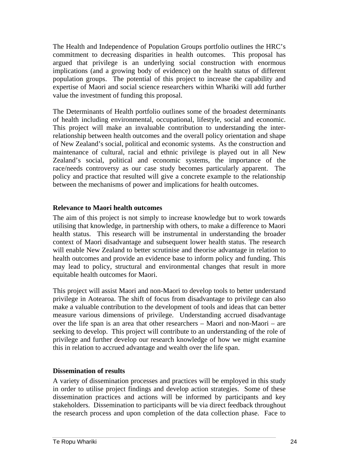The Health and Independence of Population Groups portfolio outlines the HRC's commitment to decreasing disparities in health outcomes. This proposal has argued that privilege is an underlying social construction with enormous implications (and a growing body of evidence) on the health status of different population groups. The potential of this project to increase the capability and expertise of Maori and social science researchers within Whariki will add further value the investment of funding this proposal.

The Determinants of Health portfolio outlines some of the broadest determinants of health including environmental, occupational, lifestyle, social and economic. This project will make an invaluable contribution to understanding the interrelationship between health outcomes and the overall policy orientation and shape of New Zealand's social, political and economic systems. As the construction and maintenance of cultural, racial and ethnic privilege is played out in all New Zealand's social, political and economic systems, the importance of the race/needs controversy as our case study becomes particularly apparent. The policy and practice that resulted will give a concrete example to the relationship between the mechanisms of power and implications for health outcomes.

#### **Relevance to Maori health outcomes**

The aim of this project is not simply to increase knowledge but to work towards utilising that knowledge, in partnership with others, to make a difference to Maori health status. This research will be instrumental in understanding the broader context of Maori disadvantage and subsequent lower health status. The research will enable New Zealand to better scrutinise and theorise advantage in relation to health outcomes and provide an evidence base to inform policy and funding. This may lead to policy, structural and environmental changes that result in more equitable health outcomes for Maori.

This project will assist Maori and non-Maori to develop tools to better understand privilege in Aotearoa. The shift of focus from disadvantage to privilege can also make a valuable contribution to the development of tools and ideas that can better measure various dimensions of privilege. Understanding accrued disadvantage over the life span is an area that other researchers – Maori and non-Maori – are seeking to develop. This project will contribute to an understanding of the role of privilege and further develop our research knowledge of how we might examine this in relation to accrued advantage and wealth over the life span.

## **Dissemination of results**

A variety of dissemination processes and practices will be employed in this study in order to utilise project findings and develop action strategies. Some of these dissemination practices and actions will be informed by participants and key stakeholders. Dissemination to participants will be via direct feedback throughout the research process and upon completion of the data collection phase. Face to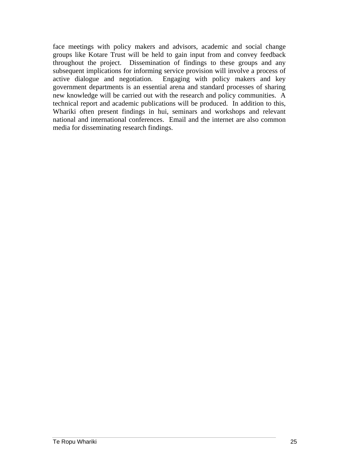face meetings with policy makers and advisors, academic and social change groups like Kotare Trust will be held to gain input from and convey feedback throughout the project. Dissemination of findings to these groups and any subsequent implications for informing service provision will involve a process of active dialogue and negotiation. Engaging with policy makers and key government departments is an essential arena and standard processes of sharing new knowledge will be carried out with the research and policy communities. A technical report and academic publications will be produced. In addition to this, Whariki often present findings in hui, seminars and workshops and relevant national and international conferences. Email and the internet are also common media for disseminating research findings.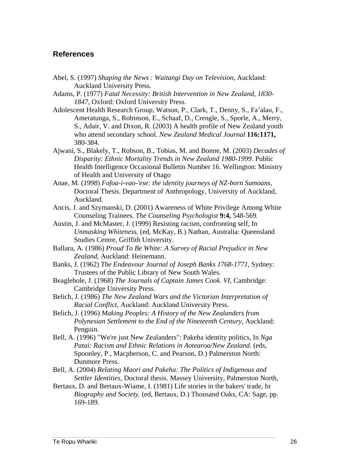# **References**

Abel, S. (1997) *Shaping the News : Waitangi Day on Television*, Auckland: Auckland University Press.

Adams, P. (1977) *Fatal Necessity: British Intervention in New Zealand, 1830- 1847*, Oxford: Oxford University Press.

- Adolescent Health Research Group, Watson, P., Clark, T., Denny, S., Fa'alau, F., Ameratunga, S., Robinson, E., Schaaf, D., Crengle, S., Sporle, A., Merry, S., Adair, V. and Dixon, R. (2003) A health profile of New Zealand youth who attend secondary school. *New Zealand Medical Journal* **116:1171,**  380-384.
- Ajwani, S., Blakely, T., Robson, B., Tobias, M. and Bonne, M. (2003) *Decades of Disparity: Ethnic Mortality Trends in New Zealand 1980-1999*. Public Health Intelligence Occasional Bulletin Number 16. Wellington: Ministry of Health and University of Otago
- Anae, M. (1998) *Fofoa-i-vao-'ese: the identity journeys of NZ-born Samoans*, Doctoral Thesis. Department of Anthropology, University of Auckland, Auckland.
- Ancis, J. and Szymanski, D. (2001) Awareness of White Privilege Among White Counseling Trainees. *The Counseling Psychologist* **9:4,** 548-569.
- Austin, J. and McMaster, J. (1999) Resisting racism, confronting self, In *Unmasking Whiteness.* (ed, McKay, B.) Nathan, Australia: Queensland Studies Centre, Griffith University.
- Ballara, A. (1986) *Proud To Be White: A Survey of Racial Prejudice in New Zealand*, Auckland: Heinemann.
- Banks, J. (1962) *The Endeavour Journal of Joseph Banks 1768-1771*, Sydney: Trustees of the Public Library of New South Wales.
- Beaglehole, J. (1968) *The Journals of Captain James Cook. VI*, Cambridge: Cambridge University Press.
- Belich, J. (1986) *The New Zealand Wars and the Victorian Interpretation of Racial Conflict*, Auckland: Auckland University Press.
- Belich, J. (1996) *Making Peoples: A History of the New Zealanders from Polynesian Settlement to the End of the Nineteenth Century*, Auckland: Penguin.
- Bell, A. (1996) "We're just New Zealanders": Pakeha identity politics, In *Nga Patai: Racism and Ethnic Relations in Aotearoa/New Zealand.* (eds, Spoonley, P., Macpherson, C. and Pearson, D.) Palmerston North: Dunmore Press.
- Bell, A. (2004) *Relating Maori and Pakeha: The Politics of Indigenous and Settler Identities*, Doctoral thesis. Massey University, Palmerston North,
- Bertaux, D. and Bertaux-Wiame, I. (1981) Life stories in the bakers' trade, In *Biography and Society.* (ed, Bertaux, D.) Thousand Oaks, CA: Sage, pp. 169-189.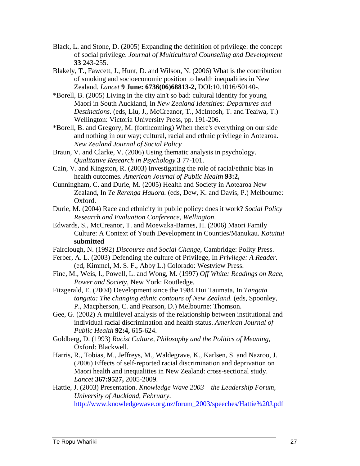- Black, L. and Stone, D. (2005) Expanding the definition of privilege: the concept of social privilege. *Journal of Multicultural Counseling and Development* **33** 243-255.
- Blakely, T., Fawcett, J., Hunt, D. and Wilson, N. (2006) What is the contribution of smoking and socioeconomic position to health inequalities in New Zealand. *Lancet* **9 June: 6736(06)68813-2,** DOI:10.1016/S0140-.
- \*Borell, B. (2005) Living in the city ain't so bad: cultural identity for young Maori in South Auckland, In *New Zealand Identities: Departures and Destinations.* (eds, Liu, J., McCreanor, T., McIntosh, T. and Teaiwa, T.) Wellington: Victoria University Press, pp. 191-206.
- \*Borell, B. and Gregory, M. (forthcoming) When there's everything on our side and nothing in our way; cultural, racial and ethnic privilege in Aotearoa. *New Zealand Journal of Social Policy*
- Braun, V. and Clarke, V. (2006) Using thematic analysis in psychology. *Qualitative Research in Psychology* **3** 77-101.
- Cain, V. and Kingston, R. (2003) Investigating the role of racial/ethnic bias in health outcomes. *American Journal of Public Health* **93:2,**
- Cunningham, C. and Durie, M. (2005) Health and Society in Aotearoa New Zealand, In *Te Rerenga Hauora.* (eds, Dew, K. and Davis, P.) Melbourne: Oxford.
- Durie, M. (2004) Race and ethnicity in public policy: does it work? *Social Policy Research and Evaluation Conference, Wellington*.
- Edwards, S., McCreanor, T. and Moewaka-Barnes, H. (2006) Maori Family Culture: A Context of Youth Development in Counties/Manukau. *Kotuitui* **submitted**
- Fairclough, N. (1992) *Discourse and Social Change*, Cambridge: Polity Press.
- Ferber, A. L. (2003) Defending the culture of Privilege, In *Privilege: A Reader.* (ed, Kimmel, M. S. F., Abby L.) Colorado: Westview Press.
- Fine, M., Weis, l., Powell, L. and Wong, M. (1997) *Off White: Readings on Race, Power and Society*, New York: Routledge.
- Fitzgerald, E. (2004) Development since the 1984 Hui Taumata, In *Tangata tangata: The changing ethnic contours of New Zealand.* (eds, Spoonley, P., Macpherson, C. and Pearson, D.) Melbourne: Thomson.
- Gee, G. (2002) A multilevel analysis of the relationship between institutional and individual racial discrimination and health status. *American Journal of Public Health* **92:4,** 615-624.
- Goldberg, D. (1993) *Racist Culture, Philosophy and the Politics of Meaning*, Oxford: Blackwell.
- Harris, R., Tobias, M., Jeffreys, M., Waldegrave, K., Karlsen, S. and Nazroo, J. (2006) Effects of self-reported racial discrimination and deprivation on Maori health and inequalities in New Zealand: cross-sectional study. *Lancet* **367:9527,** 2005-2009.
- Hattie, J. (2003) Presentation. *Knowledge Wave 2003 the Leadership Forum, University of Auckland, February*. http://www.knowledgewave.org.nz/forum\_2003/speeches/Hattie%20J.pdf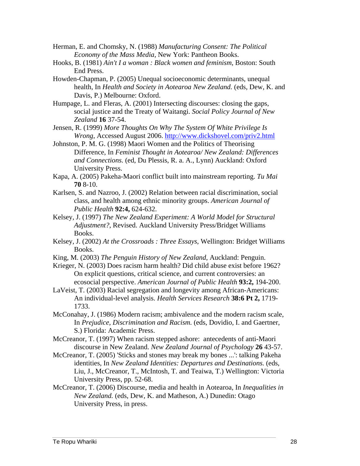- Herman, E. and Chomsky, N. (1988) *Manufacturing Consent: The Political Economy of the Mass Media*, New York: Pantheon Books.
- Hooks, B. (1981) *Ain't I a woman : Black women and feminism*, Boston: South End Press.
- Howden-Chapman, P. (2005) Unequal socioeconomic determinants, unequal health, In *Health and Society in Aotearoa New Zealand.* (eds, Dew, K. and Davis, P.) Melbourne: Oxford.
- Humpage, L. and Fleras, A. (2001) Intersecting discourses: closing the gaps, social justice and the Treaty of Waitangi. *Social Policy Journal of New Zealand* **16** 37-54.
- Jensen, R. (1999) *More Thoughts On Why The System Of White Privilege Is Wrong*, Accessed August 2006. http://www.dickshovel.com/priv2.html
- Johnston, P. M. G. (1998) Maori Women and the Politics of Theorising Difference, In *Feminist Thought in Aotearoa/ New Zealand: Differences and Connections.* (ed, Du Plessis, R. a. A., Lynn) Auckland: Oxford University Press.
- Kapa, A. (2005) Pakeha-Maori conflict built into mainstream reporting. *Tu Mai* **70** 8-10.
- Karlsen, S. and Nazroo, J. (2002) Relation between racial discrimination, social class, and health among ethnic minority groups. *American Journal of Public Health* **92:4,** 624-632.
- Kelsey, J. (1997) *The New Zealand Experiment: A World Model for Structural Adjustment?*, Revised. Auckland University Press/Bridget Williams Books.
- Kelsey, J. (2002) *At the Crossroads : Three Essays*, Wellington: Bridget Williams Books.
- King, M. (2003) *The Penguin History of New Zealand*, Auckland: Penguin.
- Krieger, N. (2003) Does racism harm health? Did child abuse exist before 1962? On explicit questions, critical science, and current controversies: an ecosocial perspective. *American Journal of Public Health* **93:2,** 194-200.
- LaVeist, T. (2003) Racial segregation and longevity among African-Americans: An individual-level analysis. *Health Services Research* **38:6 Pt 2,** 1719- 1733.
- McConahay, J. (1986) Modern racism; ambivalence and the modern racism scale, In *Prejudice, Discrimination and Racism.* (eds, Dovidio, I. and Gaertner, S.) Florida: Academic Press.
- McCreanor, T. (1997) When racism stepped ashore: antecedents of anti-Maori discourse in New Zealand. *New Zealand Journal of Psychology* **26** 43-57.
- McCreanor, T. (2005) 'Sticks and stones may break my bones ...': talking Pakeha identities, In *New Zealand Identities: Departures and Destinations.* (eds, Liu, J., McCreanor, T., McIntosh, T. and Teaiwa, T.) Wellington: Victoria University Press, pp. 52-68.
- McCreanor, T. (2006) Discourse, media and health in Aotearoa, In *Inequalities in New Zealand.* (eds, Dew, K. and Matheson, A.) Dunedin: Otago University Press, in press.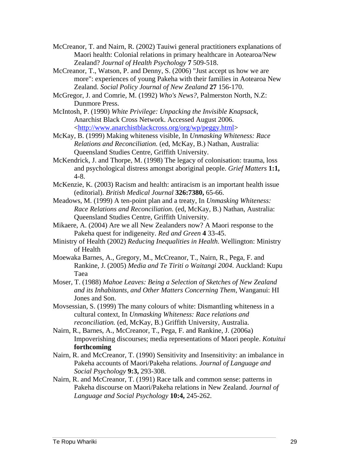McCreanor, T. and Nairn, R. (2002) Tauiwi general practitioners explanations of Maori health: Colonial relations in primary healthcare in Aotearoa/New Zealand? *Journal of Health Psychology* **7** 509-518.

McCreanor, T., Watson, P. and Denny, S. (2006) "Just accept us how we are more": experiences of young Pakeha with their families in Aotearoa New Zealand. *Social Policy Journal of New Zealand* **27** 156-170.

McGregor, J. and Comrie, M. (1992) *Who's News?*, Palmerston North, N.Z: Dunmore Press.

McIntosh, P. (1990) *White Privilege: Unpacking the Invisible Knapsack*, Anarchist Black Cross Network. Accessed August 2006. <http://www.anarchistblackcross.org/org/wp/peggy.html>

McKay, B. (1999) Making whiteness visible, In *Unmasking Whiteness: Race Relations and Reconciliation.* (ed, McKay, B.) Nathan, Australia: Queensland Studies Centre, Griffith University.

McKendrick, J. and Thorpe, M. (1998) The legacy of colonisation: trauma, loss and psychological distress amongst aboriginal people. *Grief Matters* **1:1,**  4-8.

McKenzie, K. (2003) Racism and health: antiracism is an important health issue (editorial). *British Medical Journal* **326:7380,** 65-66.

Meadows, M. (1999) A ten-point plan and a treaty, In *Unmasking Whiteness: Race Relations and Reconciliation.* (ed, McKay, B.) Nathan, Australia: Queensland Studies Centre, Griffith University.

Mikaere, A. (2004) Are we all New Zealanders now? A Maori response to the Pakeha quest for indigeneity. *Red and Green* **4** 33-45.

Ministry of Health (2002) *Reducing Inequalities in Health*. Wellington: Ministry of Health

Moewaka Barnes, A., Gregory, M., McCreanor, T., Nairn, R., Pega, F. and Rankine, J. (2005) *Media and Te Tiriti o Waitangi 2004*. Auckland: Kupu Taea

Moser, T. (1988) *Mahoe Leaves: Being a Selection of Sketches of New Zealand and its Inhabitants, and Other Matters Concerning Them*, Wanganui: HI Jones and Son.

Movsessian, S. (1999) The many colours of white: Dismantling whiteness in a cultural context, In *Unmasking Whiteness: Race relations and reconciliation.* (ed, McKay, B.) Griffith University, Australia.

Nairn, R., Barnes, A., McCreanor, T., Pega, F. and Rankine, J. (2006a) Impoverishing discourses; media representations of Maori people. *Kotuitui* **forthcoming** 

Nairn, R. and McCreanor, T. (1990) Sensitivity and Insensitivity: an imbalance in Pakeha accounts of Maori/Pakeha relations. *Journal of Language and Social Psychology* **9:3,** 293-308.

Nairn, R. and McCreanor, T. (1991) Race talk and common sense: patterns in Pakeha discourse on Maori/Pakeha relations in New Zealand. *Journal of Language and Social Psychology* **10:4,** 245-262.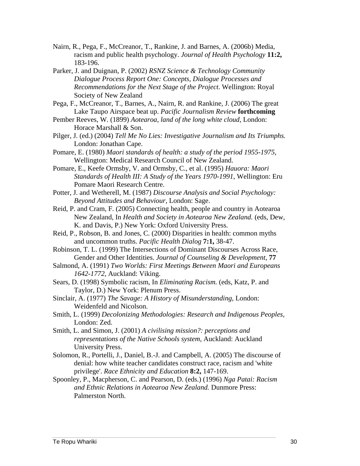- Nairn, R., Pega, F., McCreanor, T., Rankine, J. and Barnes, A. (2006b) Media, racism and public health psychology. *Journal of Health Psychology* **11:2,**  183-196.
- Parker, J. and Duignan, P. (2002) *RSNZ Science & Technology Community Dialogue Process Report One: Concepts, Dialogue Processes and Recommendations for the Next Stage of the Project*. Wellington: Royal Society of New Zealand
- Pega, F., McCreanor, T., Barnes, A., Nairn, R. and Rankine, J. (2006) The great Lake Taupo Airspace beat up. *Pacific Journalism Review* **forthcoming**
- Pember Reeves, W. (1899) *Aotearoa, land of the long white cloud*, London: Horace Marshall & Son.
- Pilger, J. (ed.) (2004) *Tell Me No Lies: Investigative Journalism and Its Triumphs.*  London: Jonathan Cape.
- Pomare, E. (1980) *Maori standards of health: a study of the period 1955-1975*, Wellington: Medical Research Council of New Zealand.
- Pomare, E., Keefe Ormsby, V. and Ormsby, C., et al. (1995) *Hauora: Maori Standards of Health III: A Study of the Years 1970-1991*, Wellington: Eru Pomare Maori Research Centre.
- Potter, J. and Wetherell, M. (1987) *Discourse Analysis and Social Psychology: Beyond Attitudes and Behaviour*, London: Sage.
- Reid, P. and Cram, F. (2005) Connecting health, people and country in Aotearoa New Zealand, In *Health and Society in Aotearoa New Zealand.* (eds, Dew, K. and Davis, P.) New York: Oxford University Press.
- Reid, P., Robson, B. and Jones, C. (2000) Disparities in health: common myths and uncommon truths. *Pacific Health Dialog* **7:1,** 38-47.
- Robinson, T. L. (1999) The Intersections of Dominant Discourses Across Race, Gender and Other Identities. *Journal of Counseling & Development,* **77**
- Salmond, A. (1991) *Two Worlds: First Meetings Between Maori and Europeans 1642-1772*, Auckland: Viking.
- Sears, D. (1998) Symbolic racism, In *Eliminating Racism.* (eds, Katz, P. and Taylor, D.) New York: Plenum Press.
- Sinclair, A. (1977) *The Savage: A History of Misunderstanding*, London: Weidenfeld and Nicolson.
- Smith, L. (1999) *Decolonizing Methodologies: Research and Indigenous Peoples*, London: Zed.
- Smith, L. and Simon, J. (2001) *A civilising mission?: perceptions and representations of the Native Schools system*, Auckland: Auckland University Press.
- Solomon, R., Portelli, J., Daniel, B.-J. and Campbell, A. (2005) The discourse of denial: how white teacher candidates construct race, racism and 'white privilege'. *Race Ethnicity and Education* **8:2,** 147-169.
- Spoonley, P., Macpherson, C. and Pearson, D. (eds.) (1996) *Nga Patai: Racism and Ethnic Relations in Aotearoa New Zealand.* Dunmore Press: Palmerston North.